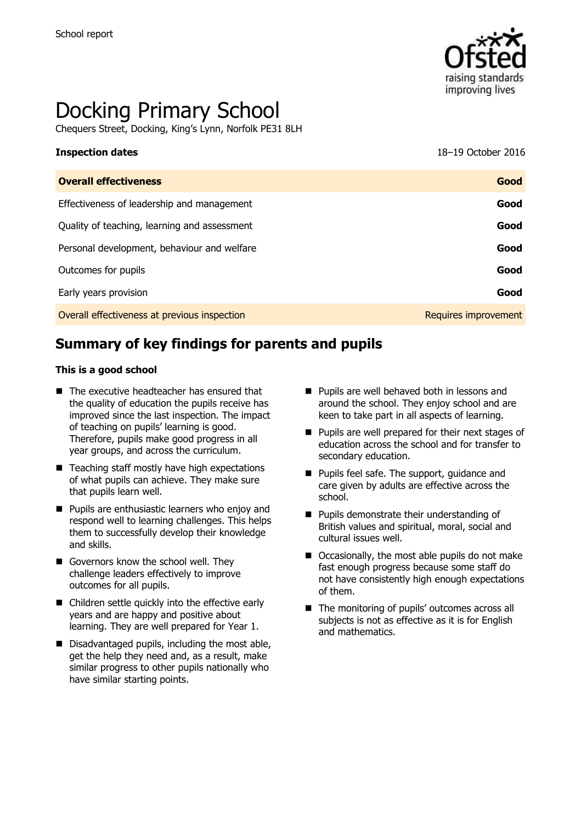

# Docking Primary School

Chequers Street, Docking, King's Lynn, Norfolk PE31 8LH

#### **Inspection dates** 18–19 October 2016

| <b>Overall effectiveness</b>                 | Good                 |
|----------------------------------------------|----------------------|
| Effectiveness of leadership and management   | Good                 |
| Quality of teaching, learning and assessment | Good                 |
| Personal development, behaviour and welfare  | Good                 |
| Outcomes for pupils                          | Good                 |
| Early years provision                        | Good                 |
| Overall effectiveness at previous inspection | Requires improvement |
|                                              |                      |

# **Summary of key findings for parents and pupils**

#### **This is a good school**

- $\blacksquare$  The executive headteacher has ensured that the quality of education the pupils receive has improved since the last inspection. The impact of teaching on pupils' learning is good. Therefore, pupils make good progress in all year groups, and across the curriculum.
- $\blacksquare$  Teaching staff mostly have high expectations of what pupils can achieve. They make sure that pupils learn well.
- **Pupils are enthusiastic learners who enjoy and** respond well to learning challenges. This helps them to successfully develop their knowledge and skills.
- Governors know the school well. They challenge leaders effectively to improve outcomes for all pupils.
- Children settle quickly into the effective early years and are happy and positive about learning. They are well prepared for Year 1.
- $\blacksquare$  Disadvantaged pupils, including the most able, get the help they need and, as a result, make similar progress to other pupils nationally who have similar starting points.
- **Pupils are well behaved both in lessons and** around the school. They enjoy school and are keen to take part in all aspects of learning.
- **Pupils are well prepared for their next stages of** education across the school and for transfer to secondary education.
- **Pupils feel safe. The support, quidance and** care given by adults are effective across the school.
- **Pupils demonstrate their understanding of** British values and spiritual, moral, social and cultural issues well.
- Occasionally, the most able pupils do not make fast enough progress because some staff do not have consistently high enough expectations of them.
- The monitoring of pupils' outcomes across all subjects is not as effective as it is for English and mathematics.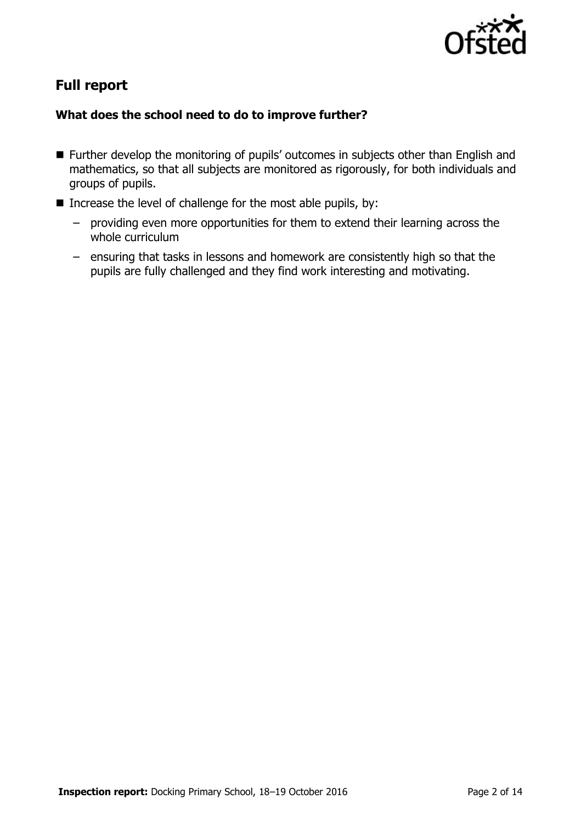

# **Full report**

### **What does the school need to do to improve further?**

- Further develop the monitoring of pupils' outcomes in subjects other than English and mathematics, so that all subjects are monitored as rigorously, for both individuals and groups of pupils.
- Increase the level of challenge for the most able pupils, by:
	- providing even more opportunities for them to extend their learning across the whole curriculum
	- ensuring that tasks in lessons and homework are consistently high so that the pupils are fully challenged and they find work interesting and motivating.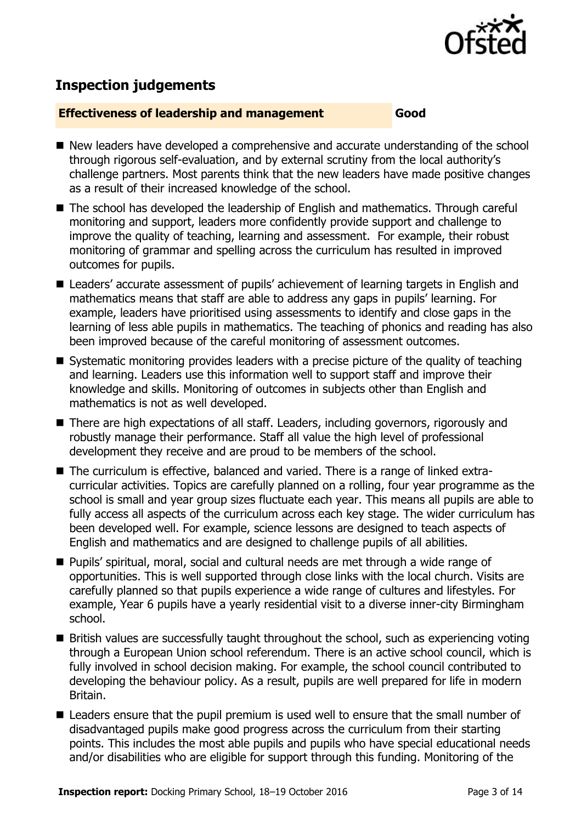

# **Inspection judgements**

#### **Effectiveness of leadership and management Good**

- New leaders have developed a comprehensive and accurate understanding of the school through rigorous self-evaluation, and by external scrutiny from the local authority's challenge partners. Most parents think that the new leaders have made positive changes as a result of their increased knowledge of the school.
- The school has developed the leadership of English and mathematics. Through careful monitoring and support, leaders more confidently provide support and challenge to improve the quality of teaching, learning and assessment. For example, their robust monitoring of grammar and spelling across the curriculum has resulted in improved outcomes for pupils.
- Leaders' accurate assessment of pupils' achievement of learning targets in English and mathematics means that staff are able to address any gaps in pupils' learning. For example, leaders have prioritised using assessments to identify and close gaps in the learning of less able pupils in mathematics. The teaching of phonics and reading has also been improved because of the careful monitoring of assessment outcomes.
- Systematic monitoring provides leaders with a precise picture of the quality of teaching and learning. Leaders use this information well to support staff and improve their knowledge and skills. Monitoring of outcomes in subjects other than English and mathematics is not as well developed.
- There are high expectations of all staff. Leaders, including governors, rigorously and robustly manage their performance. Staff all value the high level of professional development they receive and are proud to be members of the school.
- The curriculum is effective, balanced and varied. There is a range of linked extracurricular activities. Topics are carefully planned on a rolling, four year programme as the school is small and year group sizes fluctuate each year. This means all pupils are able to fully access all aspects of the curriculum across each key stage. The wider curriculum has been developed well. For example, science lessons are designed to teach aspects of English and mathematics and are designed to challenge pupils of all abilities.
- Pupils' spiritual, moral, social and cultural needs are met through a wide range of opportunities. This is well supported through close links with the local church. Visits are carefully planned so that pupils experience a wide range of cultures and lifestyles. For example, Year 6 pupils have a yearly residential visit to a diverse inner-city Birmingham school.
- British values are successfully taught throughout the school, such as experiencing voting through a European Union school referendum. There is an active school council, which is fully involved in school decision making. For example, the school council contributed to developing the behaviour policy. As a result, pupils are well prepared for life in modern Britain.
- **E** Leaders ensure that the pupil premium is used well to ensure that the small number of disadvantaged pupils make good progress across the curriculum from their starting points. This includes the most able pupils and pupils who have special educational needs and/or disabilities who are eligible for support through this funding. Monitoring of the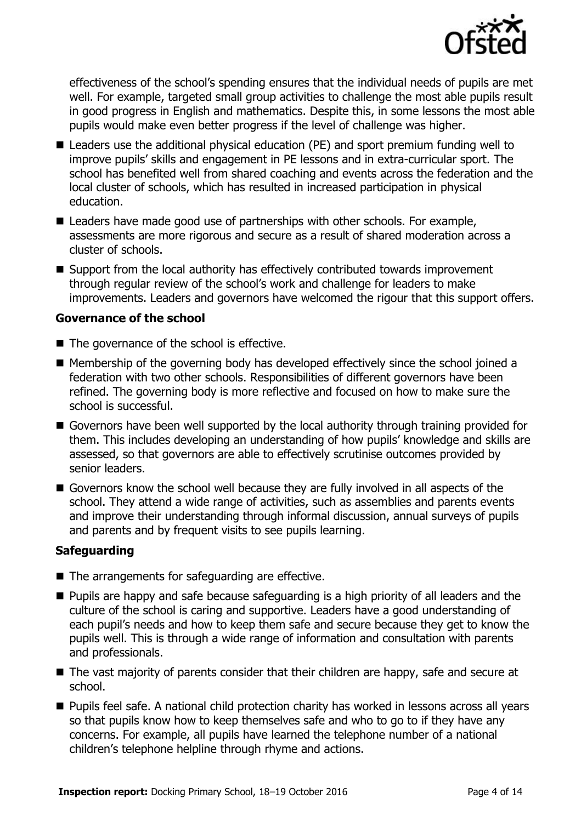

effectiveness of the school's spending ensures that the individual needs of pupils are met well. For example, targeted small group activities to challenge the most able pupils result in good progress in English and mathematics. Despite this, in some lessons the most able pupils would make even better progress if the level of challenge was higher.

- Leaders use the additional physical education (PE) and sport premium funding well to improve pupils' skills and engagement in PE lessons and in extra-curricular sport. The school has benefited well from shared coaching and events across the federation and the local cluster of schools, which has resulted in increased participation in physical education.
- Leaders have made good use of partnerships with other schools. For example, assessments are more rigorous and secure as a result of shared moderation across a cluster of schools.
- $\blacksquare$  Support from the local authority has effectively contributed towards improvement through regular review of the school's work and challenge for leaders to make improvements. Leaders and governors have welcomed the rigour that this support offers.

#### **Governance of the school**

- $\blacksquare$  The governance of the school is effective.
- Membership of the governing body has developed effectively since the school joined a federation with two other schools. Responsibilities of different governors have been refined. The governing body is more reflective and focused on how to make sure the school is successful.
- Governors have been well supported by the local authority through training provided for them. This includes developing an understanding of how pupils' knowledge and skills are assessed, so that governors are able to effectively scrutinise outcomes provided by senior leaders.
- Governors know the school well because they are fully involved in all aspects of the school. They attend a wide range of activities, such as assemblies and parents events and improve their understanding through informal discussion, annual surveys of pupils and parents and by frequent visits to see pupils learning.

#### **Safeguarding**

- The arrangements for safeguarding are effective.
- **Pupils are happy and safe because safeguarding is a high priority of all leaders and the** culture of the school is caring and supportive. Leaders have a good understanding of each pupil's needs and how to keep them safe and secure because they get to know the pupils well. This is through a wide range of information and consultation with parents and professionals.
- The vast majority of parents consider that their children are happy, safe and secure at school.
- Pupils feel safe. A national child protection charity has worked in lessons across all years so that pupils know how to keep themselves safe and who to go to if they have any concerns. For example, all pupils have learned the telephone number of a national children's telephone helpline through rhyme and actions.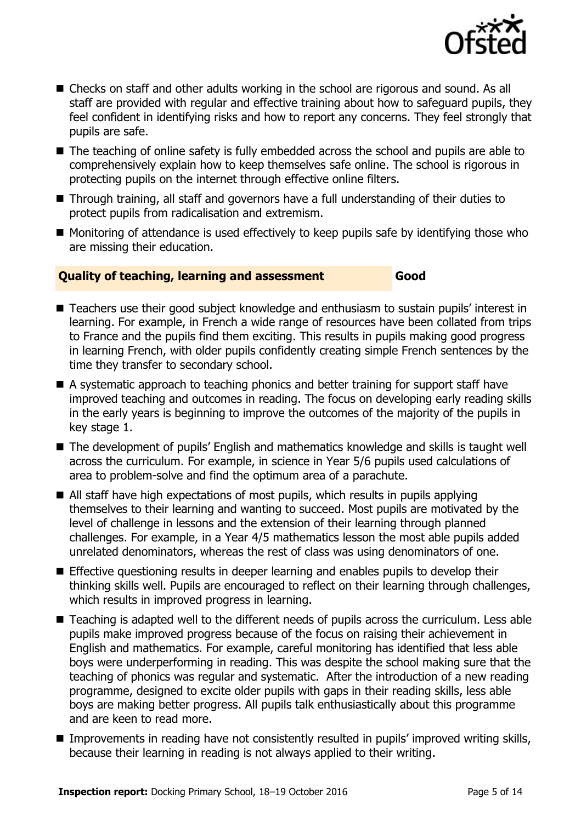

- Checks on staff and other adults working in the school are rigorous and sound. As all staff are provided with regular and effective training about how to safeguard pupils, they feel confident in identifying risks and how to report any concerns. They feel strongly that pupils are safe.
- The teaching of online safety is fully embedded across the school and pupils are able to comprehensively explain how to keep themselves safe online. The school is rigorous in protecting pupils on the internet through effective online filters.
- Through training, all staff and governors have a full understanding of their duties to protect pupils from radicalisation and extremism.
- $\blacksquare$  Monitoring of attendance is used effectively to keep pupils safe by identifying those who are missing their education.

#### **Quality of teaching, learning and assessment Good**

- Teachers use their good subiect knowledge and enthusiasm to sustain pupils' interest in learning. For example, in French a wide range of resources have been collated from trips to France and the pupils find them exciting. This results in pupils making good progress in learning French, with older pupils confidently creating simple French sentences by the time they transfer to secondary school.
- A systematic approach to teaching phonics and better training for support staff have improved teaching and outcomes in reading. The focus on developing early reading skills in the early years is beginning to improve the outcomes of the majority of the pupils in key stage 1.
- The development of pupils' English and mathematics knowledge and skills is taught well across the curriculum. For example, in science in Year 5/6 pupils used calculations of area to problem-solve and find the optimum area of a parachute.
- All staff have high expectations of most pupils, which results in pupils applying themselves to their learning and wanting to succeed. Most pupils are motivated by the level of challenge in lessons and the extension of their learning through planned challenges. For example, in a Year 4/5 mathematics lesson the most able pupils added unrelated denominators, whereas the rest of class was using denominators of one.
- Effective questioning results in deeper learning and enables pupils to develop their thinking skills well. Pupils are encouraged to reflect on their learning through challenges, which results in improved progress in learning.
- Teaching is adapted well to the different needs of pupils across the curriculum. Less able pupils make improved progress because of the focus on raising their achievement in English and mathematics. For example, careful monitoring has identified that less able boys were underperforming in reading. This was despite the school making sure that the teaching of phonics was regular and systematic. After the introduction of a new reading programme, designed to excite older pupils with gaps in their reading skills, less able boys are making better progress. All pupils talk enthusiastically about this programme and are keen to read more.
- Improvements in reading have not consistently resulted in pupils' improved writing skills, because their learning in reading is not always applied to their writing.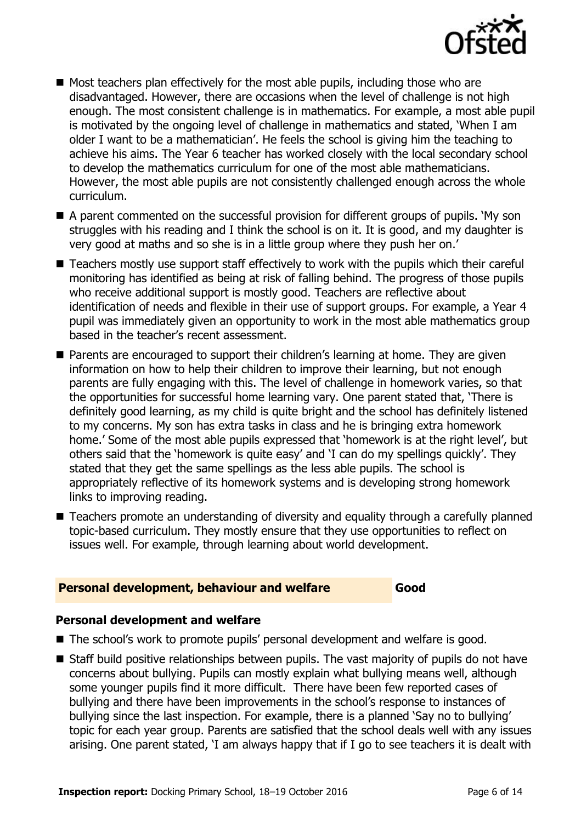

- $\blacksquare$  Most teachers plan effectively for the most able pupils, including those who are disadvantaged. However, there are occasions when the level of challenge is not high enough. The most consistent challenge is in mathematics. For example, a most able pupil is motivated by the ongoing level of challenge in mathematics and stated, 'When I am older I want to be a mathematician'. He feels the school is giving him the teaching to achieve his aims. The Year 6 teacher has worked closely with the local secondary school to develop the mathematics curriculum for one of the most able mathematicians. However, the most able pupils are not consistently challenged enough across the whole curriculum.
- A parent commented on the successful provision for different groups of pupils. 'My son struggles with his reading and I think the school is on it. It is good, and my daughter is very good at maths and so she is in a little group where they push her on.'
- Teachers mostly use support staff effectively to work with the pupils which their careful monitoring has identified as being at risk of falling behind. The progress of those pupils who receive additional support is mostly good. Teachers are reflective about identification of needs and flexible in their use of support groups. For example, a Year 4 pupil was immediately given an opportunity to work in the most able mathematics group based in the teacher's recent assessment.
- Parents are encouraged to support their children's learning at home. They are given information on how to help their children to improve their learning, but not enough parents are fully engaging with this. The level of challenge in homework varies, so that the opportunities for successful home learning vary. One parent stated that, 'There is definitely good learning, as my child is quite bright and the school has definitely listened to my concerns. My son has extra tasks in class and he is bringing extra homework home.' Some of the most able pupils expressed that 'homework is at the right level', but others said that the 'homework is quite easy' and 'I can do my spellings quickly'. They stated that they get the same spellings as the less able pupils. The school is appropriately reflective of its homework systems and is developing strong homework links to improving reading.
- Teachers promote an understanding of diversity and equality through a carefully planned topic-based curriculum. They mostly ensure that they use opportunities to reflect on issues well. For example, through learning about world development.

#### **Personal development, behaviour and welfare Good**

#### **Personal development and welfare**

- The school's work to promote pupils' personal development and welfare is good.
- Staff build positive relationships between pupils. The vast majority of pupils do not have concerns about bullying. Pupils can mostly explain what bullying means well, although some younger pupils find it more difficult. There have been few reported cases of bullying and there have been improvements in the school's response to instances of bullying since the last inspection. For example, there is a planned 'Say no to bullying' topic for each year group. Parents are satisfied that the school deals well with any issues arising. One parent stated, 'I am always happy that if I go to see teachers it is dealt with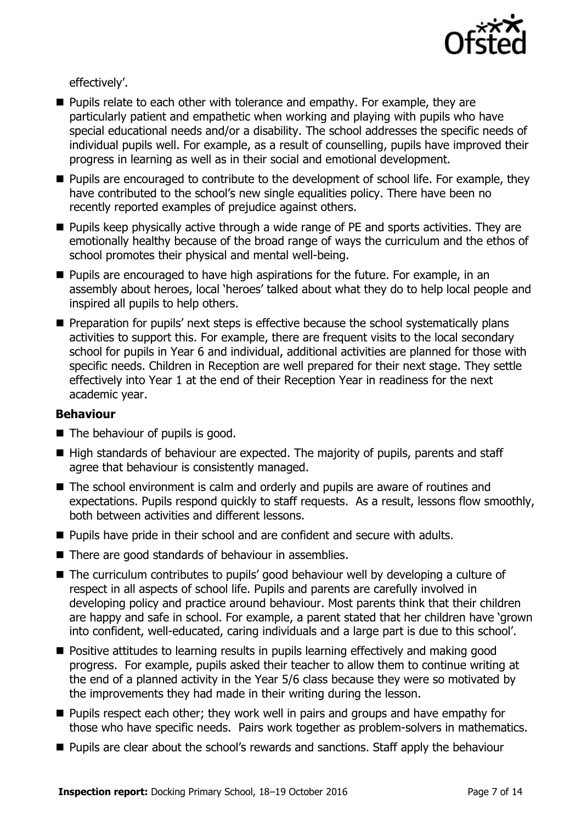

effectively'.

- **Pupils relate to each other with tolerance and empathy. For example, they are** particularly patient and empathetic when working and playing with pupils who have special educational needs and/or a disability. The school addresses the specific needs of individual pupils well. For example, as a result of counselling, pupils have improved their progress in learning as well as in their social and emotional development.
- **Pupils are encouraged to contribute to the development of school life. For example, they** have contributed to the school's new single equalities policy. There have been no recently reported examples of prejudice against others.
- **Pupils keep physically active through a wide range of PE and sports activities. They are** emotionally healthy because of the broad range of ways the curriculum and the ethos of school promotes their physical and mental well-being.
- **Pupils are encouraged to have high aspirations for the future. For example, in an** assembly about heroes, local 'heroes' talked about what they do to help local people and inspired all pupils to help others.
- **Preparation for pupils' next steps is effective because the school systematically plans** activities to support this. For example, there are frequent visits to the local secondary school for pupils in Year 6 and individual, additional activities are planned for those with specific needs. Children in Reception are well prepared for their next stage. They settle effectively into Year 1 at the end of their Reception Year in readiness for the next academic year.

#### **Behaviour**

- The behaviour of pupils is good.
- $\blacksquare$  High standards of behaviour are expected. The majority of pupils, parents and staff agree that behaviour is consistently managed.
- The school environment is calm and orderly and pupils are aware of routines and expectations. Pupils respond quickly to staff requests. As a result, lessons flow smoothly, both between activities and different lessons.
- **Pupils have pride in their school and are confident and secure with adults.**
- There are good standards of behaviour in assemblies.
- The curriculum contributes to pupils' good behaviour well by developing a culture of respect in all aspects of school life. Pupils and parents are carefully involved in developing policy and practice around behaviour. Most parents think that their children are happy and safe in school. For example, a parent stated that her children have 'grown into confident, well-educated, caring individuals and a large part is due to this school'.
- **Positive attitudes to learning results in pupils learning effectively and making good** progress. For example, pupils asked their teacher to allow them to continue writing at the end of a planned activity in the Year 5/6 class because they were so motivated by the improvements they had made in their writing during the lesson.
- **Pupils respect each other; they work well in pairs and groups and have empathy for** those who have specific needs. Pairs work together as problem-solvers in mathematics.
- Pupils are clear about the school's rewards and sanctions. Staff apply the behaviour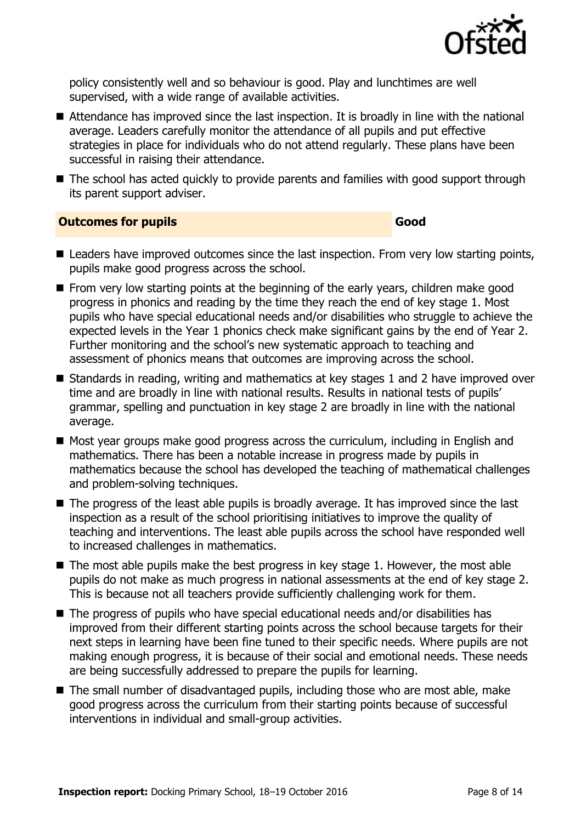

policy consistently well and so behaviour is good. Play and lunchtimes are well supervised, with a wide range of available activities.

- Attendance has improved since the last inspection. It is broadly in line with the national average. Leaders carefully monitor the attendance of all pupils and put effective strategies in place for individuals who do not attend regularly. These plans have been successful in raising their attendance.
- The school has acted quickly to provide parents and families with good support through its parent support adviser.

#### **Outcomes for pupils Good**

- Leaders have improved outcomes since the last inspection. From very low starting points, pupils make good progress across the school.
- **Fight** From very low starting points at the beginning of the early years, children make good progress in phonics and reading by the time they reach the end of key stage 1. Most pupils who have special educational needs and/or disabilities who struggle to achieve the expected levels in the Year 1 phonics check make significant gains by the end of Year 2. Further monitoring and the school's new systematic approach to teaching and assessment of phonics means that outcomes are improving across the school.
- Standards in reading, writing and mathematics at key stages 1 and 2 have improved over time and are broadly in line with national results. Results in national tests of pupils' grammar, spelling and punctuation in key stage 2 are broadly in line with the national average.
- Most year groups make good progress across the curriculum, including in English and mathematics. There has been a notable increase in progress made by pupils in mathematics because the school has developed the teaching of mathematical challenges and problem-solving techniques.
- The progress of the least able pupils is broadly average. It has improved since the last inspection as a result of the school prioritising initiatives to improve the quality of teaching and interventions. The least able pupils across the school have responded well to increased challenges in mathematics.
- $\blacksquare$  The most able pupils make the best progress in key stage 1. However, the most able pupils do not make as much progress in national assessments at the end of key stage 2. This is because not all teachers provide sufficiently challenging work for them.
- The progress of pupils who have special educational needs and/or disabilities has improved from their different starting points across the school because targets for their next steps in learning have been fine tuned to their specific needs. Where pupils are not making enough progress, it is because of their social and emotional needs. These needs are being successfully addressed to prepare the pupils for learning.
- The small number of disadvantaged pupils, including those who are most able, make good progress across the curriculum from their starting points because of successful interventions in individual and small-group activities.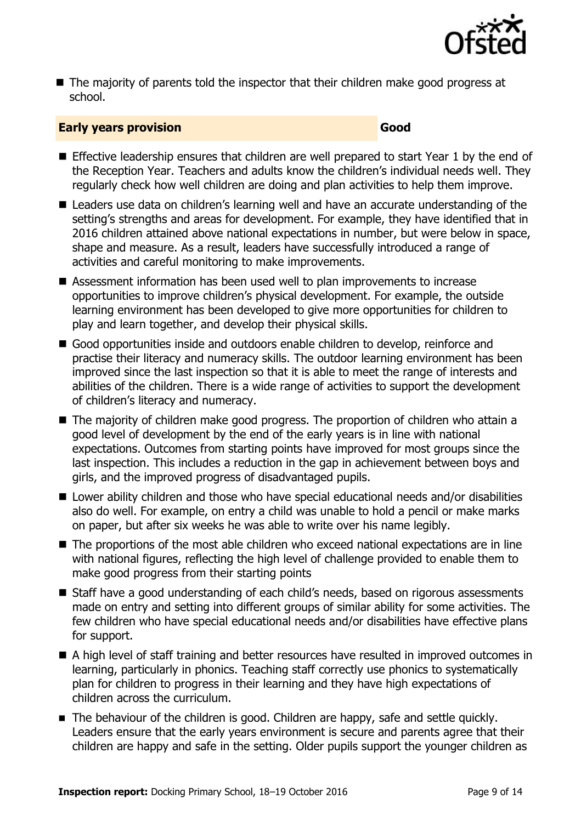

■ The majority of parents told the inspector that their children make good progress at school.

#### **Early years provision Good**

- **Effective leadership ensures that children are well prepared to start Year 1 by the end of** the Reception Year. Teachers and adults know the children's individual needs well. They regularly check how well children are doing and plan activities to help them improve.
- Leaders use data on children's learning well and have an accurate understanding of the setting's strengths and areas for development. For example, they have identified that in 2016 children attained above national expectations in number, but were below in space, shape and measure. As a result, leaders have successfully introduced a range of activities and careful monitoring to make improvements.
- Assessment information has been used well to plan improvements to increase opportunities to improve children's physical development. For example, the outside learning environment has been developed to give more opportunities for children to play and learn together, and develop their physical skills.
- Good opportunities inside and outdoors enable children to develop, reinforce and practise their literacy and numeracy skills. The outdoor learning environment has been improved since the last inspection so that it is able to meet the range of interests and abilities of the children. There is a wide range of activities to support the development of children's literacy and numeracy.
- The majority of children make good progress. The proportion of children who attain a good level of development by the end of the early years is in line with national expectations. Outcomes from starting points have improved for most groups since the last inspection. This includes a reduction in the gap in achievement between boys and girls, and the improved progress of disadvantaged pupils.
- Lower ability children and those who have special educational needs and/or disabilities also do well. For example, on entry a child was unable to hold a pencil or make marks on paper, but after six weeks he was able to write over his name legibly.
- The proportions of the most able children who exceed national expectations are in line with national figures, reflecting the high level of challenge provided to enable them to make good progress from their starting points
- Staff have a good understanding of each child's needs, based on rigorous assessments made on entry and setting into different groups of similar ability for some activities. The few children who have special educational needs and/or disabilities have effective plans for support.
- A high level of staff training and better resources have resulted in improved outcomes in learning, particularly in phonics. Teaching staff correctly use phonics to systematically plan for children to progress in their learning and they have high expectations of children across the curriculum.
- The behaviour of the children is good. Children are happy, safe and settle quickly. Leaders ensure that the early years environment is secure and parents agree that their children are happy and safe in the setting. Older pupils support the younger children as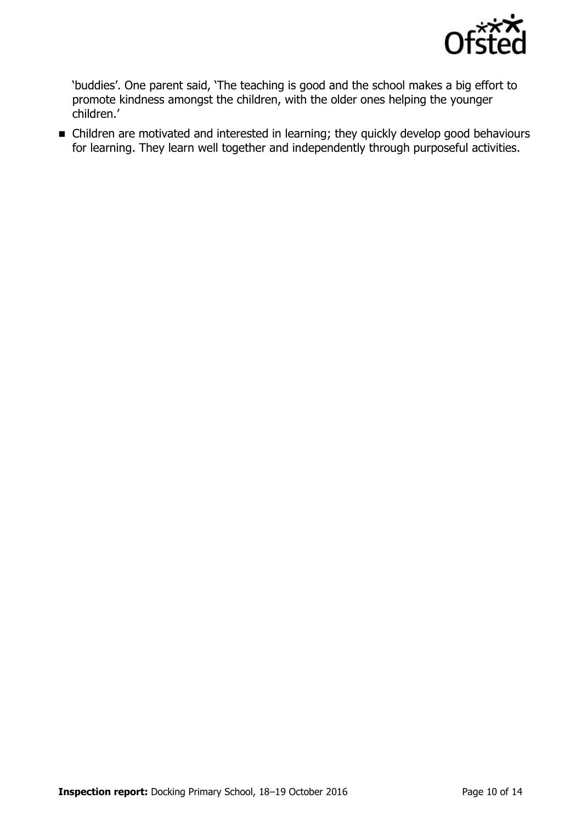

'buddies'. One parent said, 'The teaching is good and the school makes a big effort to promote kindness amongst the children, with the older ones helping the younger children.'

 Children are motivated and interested in learning; they quickly develop good behaviours for learning. They learn well together and independently through purposeful activities.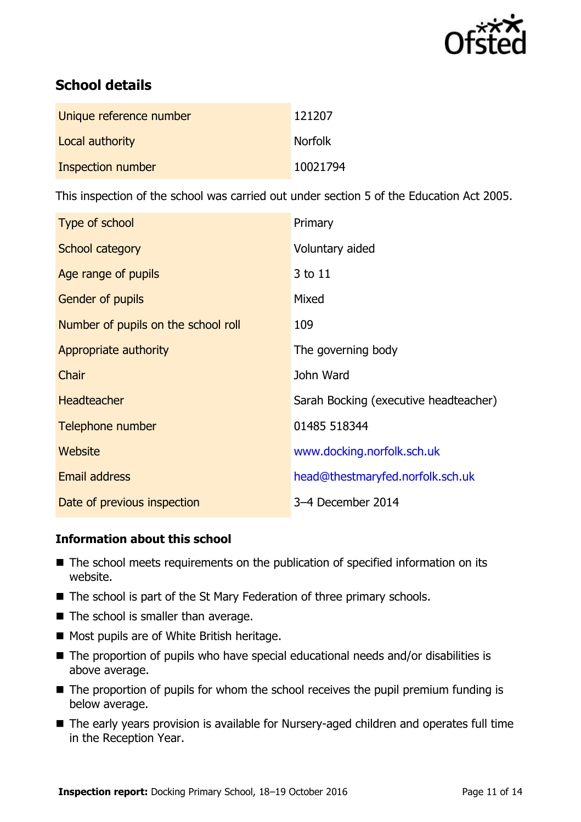

# **School details**

| Unique reference number | 121207         |
|-------------------------|----------------|
| Local authority         | <b>Norfolk</b> |
| Inspection number       | 10021794       |

This inspection of the school was carried out under section 5 of the Education Act 2005.

| Type of school                      | Primary                               |
|-------------------------------------|---------------------------------------|
| School category                     | Voluntary aided                       |
| Age range of pupils                 | 3 to 11                               |
| <b>Gender of pupils</b>             | Mixed                                 |
| Number of pupils on the school roll | 109                                   |
| Appropriate authority               | The governing body                    |
| Chair                               | John Ward                             |
| <b>Headteacher</b>                  | Sarah Bocking (executive headteacher) |
| Telephone number                    | 01485 518344                          |
| <b>Website</b>                      | www.docking.norfolk.sch.uk            |
| <b>Email address</b>                | head@thestmaryfed.norfolk.sch.uk      |
| Date of previous inspection         | 3-4 December 2014                     |

#### **Information about this school**

- The school meets requirements on the publication of specified information on its website.
- The school is part of the St Mary Federation of three primary schools.
- $\blacksquare$  The school is smaller than average.
- Most pupils are of White British heritage.
- The proportion of pupils who have special educational needs and/or disabilities is above average.
- $\blacksquare$  The proportion of pupils for whom the school receives the pupil premium funding is below average.
- The early years provision is available for Nursery-aged children and operates full time in the Reception Year.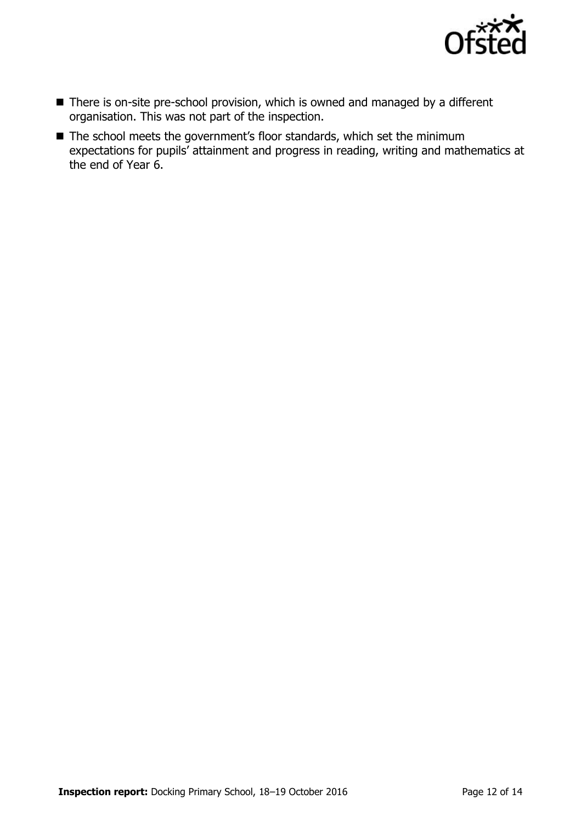

- There is on-site pre-school provision, which is owned and managed by a different organisation. This was not part of the inspection.
- The school meets the government's floor standards, which set the minimum expectations for pupils' attainment and progress in reading, writing and mathematics at the end of Year 6.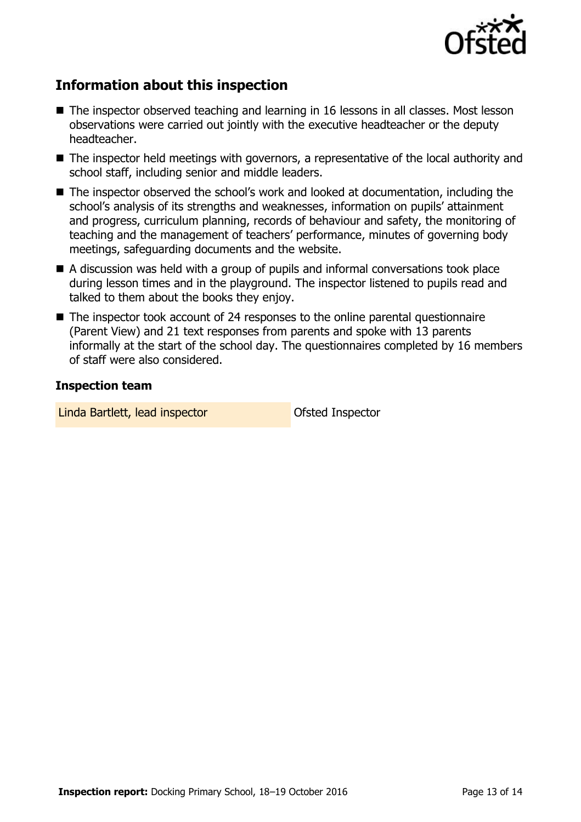

# **Information about this inspection**

- The inspector observed teaching and learning in 16 lessons in all classes. Most lesson observations were carried out jointly with the executive headteacher or the deputy headteacher.
- The inspector held meetings with governors, a representative of the local authority and school staff, including senior and middle leaders.
- The inspector observed the school's work and looked at documentation, including the school's analysis of its strengths and weaknesses, information on pupils' attainment and progress, curriculum planning, records of behaviour and safety, the monitoring of teaching and the management of teachers' performance, minutes of governing body meetings, safeguarding documents and the website.
- A discussion was held with a group of pupils and informal conversations took place during lesson times and in the playground. The inspector listened to pupils read and talked to them about the books they enjoy.
- The inspector took account of 24 responses to the online parental questionnaire (Parent View) and 21 text responses from parents and spoke with 13 parents informally at the start of the school day. The questionnaires completed by 16 members of staff were also considered.

#### **Inspection team**

Linda Bartlett, lead inspector **Constanting Constanting Constanting Constanting Constanting Constanting Constanting Constanting Constanting Constanting Constanting Constanting Constanting Constanting Constanting Constantin**